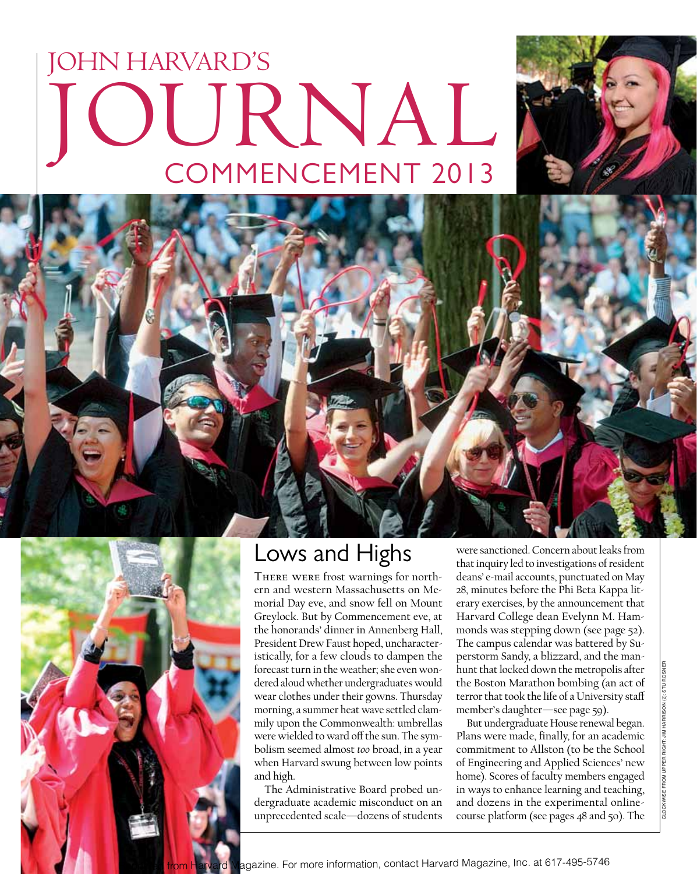# JOHN HARVARD'S Journalcommencement 2013





## Lows and Highs

There were frost warnings for northern and western Massachusetts on Memorial Day eve, and snow fell on Mount Greylock. But by Commencement eve, at the honorands' dinner in Annenberg Hall, President Drew Faust hoped, uncharacteristically, for a few clouds to dampen the forecast turn in the weather; she even wondered aloud whether undergraduates would wear clothes under their gowns. Thursday morning, a summer heat wave settled clammily upon the Commonwealth: umbrellas were wielded to ward off the sun. The symbolism seemed almost *too* broad, in a year when Harvard swung between low points and high.

The Administrative Board probed undergraduate academic misconduct on an unprecedented scale—dozens of students

were sanctioned. Concern about leaks from that inquiry led to investigations of resident deans' e-mail accounts, punctuated on May 28, minutes before the Phi Beta Kappa literary exercises, by the announcement that Harvard College dean Evelynn M. Hammonds was stepping down (see page 52). The campus calendar was battered by Superstorm Sandy, a blizzard, and the manhunt that locked down the metropolis after the Boston Marathon bombing (an act of terror that took the life of a University staff member's daughter—see page 59).

But undergraduate House renewal began. Plans were made, finally, for an academic commitment to Allston (to be the School of Engineering and Applied Sciences' new home). Scores of faculty members engaged in ways to enhance learning and teaching, and dozens in the experimental onlinecourse platform (see pages 48 and 50). The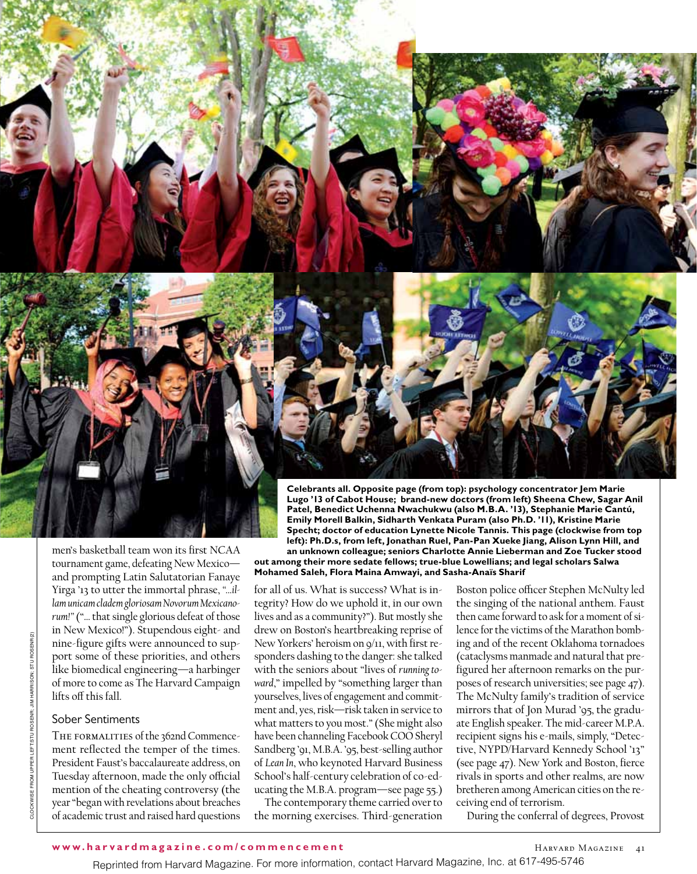

men's basketball team won its first NCAA tournament game, defeating New Mexico and prompting Latin Salutatorian Fanaye Yirga '13 to utter the immortal phrase, *"…illam unicam cladem gloriosam Novorum Mexicanorum!"* ("… that single glorious defeat of those in New Mexico!"). Stupendous eight- and nine-figure gifts were announced to support some of these priorities, and others like biomedical engineering—a harbinger of more to come as The Harvard Campaign lifts off this fall.

### Sober Sentiments

THE FORMALITIES of the 362nd Commencement reflected the temper of the times. President Faust's baccalaureate address, on Tuesday afternoon, made the only official mention of the cheating controversy (the year "began with revelations about breaches of academic trust and raised hard questions

**Celebrants all. Opposite page (from top): psychology concentrator Jem Marie Lugo '13 of Cabot House; brand-new doctors (from left) Sheena Chew, Sagar Anil Patel, Benedict Uchenna Nwachukwu (also M.B.A. '13), Stephanie Marie Cantú, Emily Morell Balkin, Sidharth Venkata Puram (also Ph.D. '11), Kristine Marie Specht; doctor of education Lynette Nicole Tannis. This page (clockwise from top left): Ph.D.s, from left, Jonathan Ruel, Pan-Pan Xueke Jiang, Alison Lynn Hill, and an unknown colleague; seniors Charlotte Annie Lieberman and Zoe Tucker stood** 

**out among their more sedate fellows; true-blue Lowellians; and legal scholars Salwa Mohamed Saleh, Flora Maina Amwayi, and Sasha-Anaïs Sharif**

for all of us. What is success? What is integrity? How do we uphold it, in our own lives and as a community?"). But mostly she drew on Boston's heartbreaking reprise of New Yorkers' heroism on 9/11, with first responders dashing to the danger: she talked with the seniors about "lives of *running toward*," impelled by "something larger than yourselves, lives of engagement and commitment and, yes, risk—risk taken in service to what matters to you most." (She might also have been channeling Facebook COO Sheryl Sandberg '91, M.B.A. '95, best-selling author of *Lean In*, who keynoted Harvard Business School's half-century celebration of co-educating the M.B.A. program—see page 55.)

The contemporary theme carried over to the morning exercises. Third-generation

Boston police officer Stephen McNulty led the singing of the national anthem. Faust then came forward to ask for a moment of silence for the victims of the Marathon bombing and of the recent Oklahoma tornadoes (cataclysms manmade and natural that prefigured her afternoon remarks on the purposes of research universities; see page 47). The McNulty family's tradition of service mirrors that of Jon Murad '95, the graduate English speaker. The mid-career M.P.A. recipient signs his e-mails, simply, "Detective, NYPD/Harvard Kennedy School '13" (see page 47). New York and Boston, fierce rivals in sports and other realms, are now bretheren among American cities on the receiving end of terrorism.

During the conferral of degrees, Provost

#### **www.harvardmagazine.com/commencement**

Reprinted from Harvard Magazine. For more information, contact Harvard Magazine, Inc. at 617-495-5746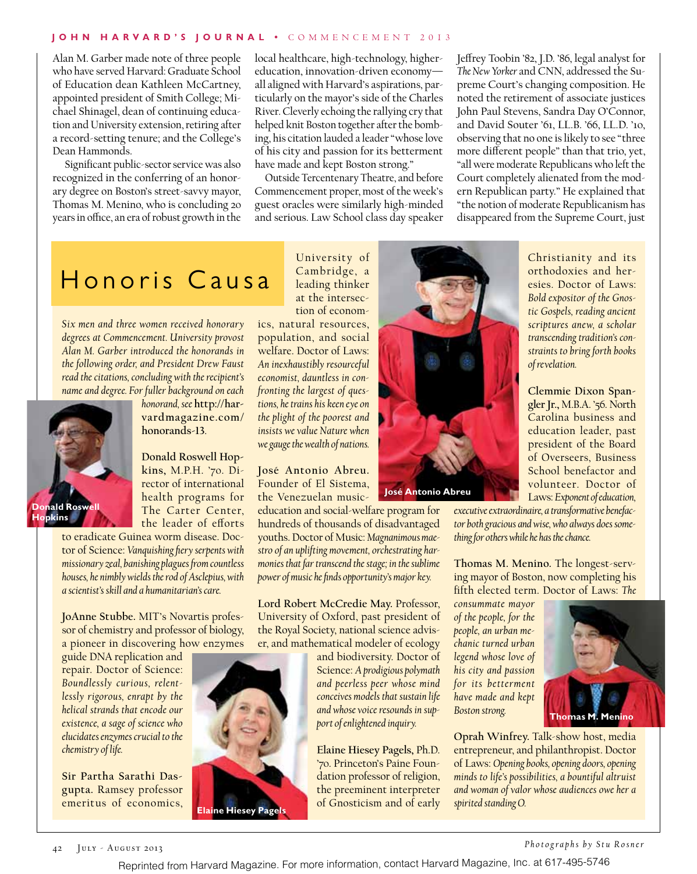#### **John H arvard's Journal •** Commen c ement 2013

Alan M. Garber made note of three people who have served Harvard: Graduate School of Education dean Kathleen McCartney, appointed president of Smith College; Michael Shinagel, dean of continuing education and University extension, retiring after a record-setting tenure; and the College's Dean Hammonds.

 Significant public-sector service was also recognized in the conferring of an honorary degree on Boston's street-savvy mayor, Thomas M. Menino, who is concluding 20 years in office, an era of robust growth in the

local healthcare, high-technology, highereducation, innovation-driven economy all aligned with Harvard's aspirations, particularly on the mayor's side of the Charles River. Cleverly echoing the rallying cry that helped knit Boston together after the bombing, his citation lauded a leader "whose love of his city and passion for its betterment have made and kept Boston strong."

Outside Tercentenary Theatre, and before Commencement proper, most of the week's guest oracles were similarly high-minded and serious. Law School class day speaker Jeffrey Toobin '82, J.D. '86, legal analyst for *The New Yorker* and CNN, addressed the Supreme Court's changing composition. He noted the retirement of associate justices John Paul Stevens, Sandra Day O'Connor, and David Souter '61, LL.B. '66, LL.D. '10, observing that no one is likely to see "three more different people" than that trio, yet, "all were moderate Republicans who left the Court completely alienated from the modern Republican party." He explained that "the notion of moderate Republicanism has disappeared from the Supreme Court, just

> Christianity and its orthodoxies and heresies. Doctor of Laws: *Bold expositor of the Gnostic Gospels, reading ancient scriptures anew, a scholar transcending tradition's constraints to bring forth books*

> **Clemmie Dixon Spangler Jr.,** M.B.A. '56. North Carolina business and education leader, past president of the Board of Overseers, Business School benefactor and

## Honoris Causa

*Six men and three women received honorary degrees at Commencement. University provost Alan M. Garber introduced the honorands in the following order, and President Drew Faust read the citations, concluding with the recipient's name and degree. For fuller background on each* 



*honorand, see* **http://harvardmagazine.com/ honorands-13**.

**Donald Roswell Hopkins,** M.P.H. '70. Director of international health programs for The Carter Center, the leader of efforts

to eradicate Guinea worm disease. Doctor of Science: *Vanquishing fiery serpents with missionary zeal, banishing plagues from countless houses, he nimbly wields the rod of Asclepius, with a scientist's skill and a humanitarian's care.*

**JoAnne Stubbe.** MIT's Novartis professor of chemistry and professor of biology, a pioneer in discovering how enzymes

guide DNA replication and repair. Doctor of Science: *Boundlessly curious, relentlessly rigorous, enrapt by the helical strands that encode our existence, a sage of science who elucidates enzymes crucial to the chemistry of life.*

**Sir Partha Sarathi Dasgupta.** Ramsey professor emeritus of economics, University of Cambridge, a leading thinker at the intersection of econom-

ics, natural resources, population, and social welfare. Doctor of Laws: *An inexhaustibly resourceful economist, dauntless in confronting the largest of questions, he trains his keen eye on the plight of the poorest and insists we value Nature when we gauge the wealth of nations.*

**José Antonio Abreu.** Founder of El Sistema, the Venezuelan music-

education and social-welfare program for hundreds of thousands of disadvantaged youths. Doctor of Music: *Magnanimous maestro of an uplifting movement, orchestrating harmonies that far transcend the stage; in the sublime power of music he finds opportunity's major key.*

**Lord Robert McCredie May.** Professor, University of Oxford, past president of the Royal Society, national science adviser, and mathematical modeler of ecology

> and biodiversity. Doctor of Science: *A prodigious polymath and peerless peer whose mind conceives models that sustain life and whose voice resounds in support of enlightened inquiry.*

> **Elaine Hiesey Pagels,** Ph.D. '70. Princeton's Paine Foundation professor of religion, the preeminent interpreter of Gnosticism and of early



volunteer. Doctor of Laws: *Exponent of education, executive extraordinaire, a transformative benefactor both gracious and wise, who always does something for others while he has the chance.*

*of revelation.*

**Thomas M. Menino.** The longest-serving mayor of Boston, now completing his fifth elected term. Doctor of Laws: *The* 

*consummate mayor of the people, for the people, an urban mechanic turned urban legend whose love of his city and passion for its betterment have made and kept Boston strong.*



**Oprah Winfrey.** Talk-show host, media entrepreneur, and philanthropist. Doctor of Laws: *Opening books, opening doors, opening minds to life's possibilities, a bountiful altruist and woman of valor whose audiences owe her a spirited standing O.*



*Photographs by Stu Rosner*

Reprinted from Harvard Magazine. For more information, contact Harvard Magazine, Inc. at 617-495-5746